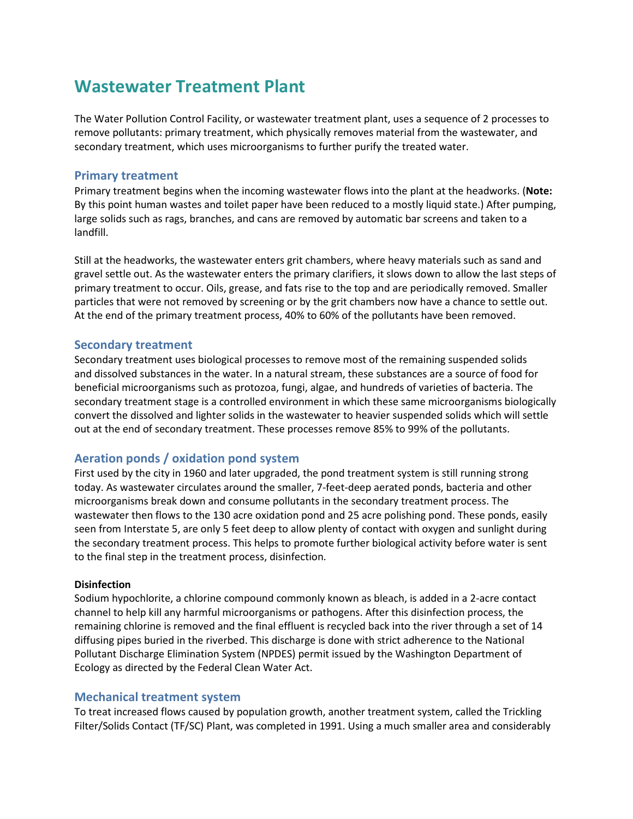# **Wastewater Treatment Plant**

The Water Pollution Control Facility, or wastewater treatment plant, uses a sequence of 2 processes to remove pollutants: primary treatment, which physically removes material from the wastewater, and secondary treatment, which uses microorganisms to further purify the treated water.

### **Primary treatment**

Primary treatment begins when the incoming wastewater flows into the plant at the headworks. (**Note:** By this point human wastes and toilet paper have been reduced to a mostly liquid state.) After pumping, large solids such as rags, branches, and cans are removed by automatic bar screens and taken to a landfill.

Still at the headworks, the wastewater enters grit chambers, where heavy materials such as sand and gravel settle out. As the wastewater enters the primary clarifiers, it slows down to allow the last steps of primary treatment to occur. Oils, grease, and fats rise to the top and are periodically removed. Smaller particles that were not removed by screening or by the grit chambers now have a chance to settle out. At the end of the primary treatment process, 40% to 60% of the pollutants have been removed.

## **Secondary treatment**

Secondary treatment uses biological processes to remove most of the remaining suspended solids and dissolved substances in the water. In a natural stream, these substances are a source of food for beneficial microorganisms such as protozoa, fungi, algae, and hundreds of varieties of bacteria. The secondary treatment stage is a controlled environment in which these same microorganisms biologically convert the dissolved and lighter solids in the wastewater to heavier suspended solids which will settle out at the end of secondary treatment. These processes remove 85% to 99% of the pollutants.

## **Aeration ponds / oxidation pond system**

First used by the city in 1960 and later upgraded, the pond treatment system is still running strong today. As wastewater circulates around the smaller, 7-feet-deep aerated ponds, bacteria and other microorganisms break down and consume pollutants in the secondary treatment process. The wastewater then flows to the 130 acre oxidation pond and 25 acre polishing pond. These ponds, easily seen from Interstate 5, are only 5 feet deep to allow plenty of contact with oxygen and sunlight during the secondary treatment process. This helps to promote further biological activity before water is sent to the final step in the treatment process, disinfection.

#### **Disinfection**

Sodium hypochlorite, a chlorine compound commonly known as bleach, is added in a 2-acre contact channel to help kill any harmful microorganisms or pathogens. After this disinfection process, the remaining chlorine is removed and the final effluent is recycled back into the river through a set of 14 diffusing pipes buried in the riverbed. This discharge is done with strict adherence to the National Pollutant Discharge Elimination System (NPDES) permit issued by the Washington Department of Ecology as directed by the Federal Clean Water Act.

## **Mechanical treatment system**

To treat increased flows caused by population growth, another treatment system, called the Trickling Filter/Solids Contact (TF/SC) Plant, was completed in 1991. Using a much smaller area and considerably